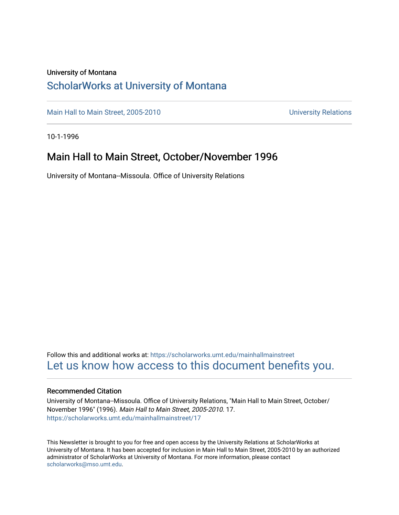#### University of Montana

#### [ScholarWorks at University of Montana](https://scholarworks.umt.edu/)

[Main Hall to Main Street, 2005-2010](https://scholarworks.umt.edu/mainhallmainstreet) Main Hall to Main Street, 2005-2010

10-1-1996

#### Main Hall to Main Street, October/November 1996

University of Montana--Missoula. Office of University Relations

Follow this and additional works at: [https://scholarworks.umt.edu/mainhallmainstreet](https://scholarworks.umt.edu/mainhallmainstreet?utm_source=scholarworks.umt.edu%2Fmainhallmainstreet%2F17&utm_medium=PDF&utm_campaign=PDFCoverPages) [Let us know how access to this document benefits you.](https://goo.gl/forms/s2rGfXOLzz71qgsB2) 

#### Recommended Citation

University of Montana--Missoula. Office of University Relations, "Main Hall to Main Street, October/ November 1996" (1996). Main Hall to Main Street, 2005-2010. 17. [https://scholarworks.umt.edu/mainhallmainstreet/17](https://scholarworks.umt.edu/mainhallmainstreet/17?utm_source=scholarworks.umt.edu%2Fmainhallmainstreet%2F17&utm_medium=PDF&utm_campaign=PDFCoverPages) 

This Newsletter is brought to you for free and open access by the University Relations at ScholarWorks at University of Montana. It has been accepted for inclusion in Main Hall to Main Street, 2005-2010 by an authorized administrator of ScholarWorks at University of Montana. For more information, please contact [scholarworks@mso.umt.edu.](mailto:scholarworks@mso.umt.edu)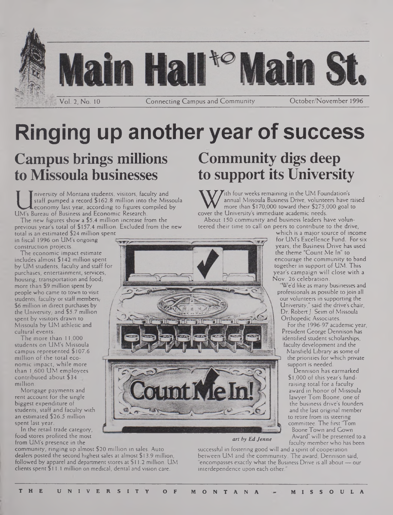

# **Ringing up another year of success**

## **Campus brings millions to Missoula businesses**

Istaff pumped a record \$162.8 million into the Mi<br>economy last year, according to figures compiled<br>UM's Bureau of Business and Economic Research.<br>The new figures show a \$5.4 million increase from the niversity of Montana students, visitors, faculty and staff pumped a record \$162.8 million into the Missoula economy last year, according to figures compiled by

The new figures show a \$5.4 million increase from the previous year's total of \$157.4 million. Excluded from the new

1887

total is an estimated \$24 million spent in fiscal 1996 on UM's ongoing construction projects.

The economic impact estimate includes almost \$142 million spent by UM students, faculty and staff for purchases, entertainment, services, housing, transportation and food; more than \$9 million spent by people who came to town to visit students, faculty or staff members, \$6 million in direct purchases by the University, and \$5.7 million spent by visitors drawn to Missoula by UM athletic and cultural events.

The more than 11,000 students on UM's Missoula campus represented \$107.6 million of the total economic impact, while more than 1,600 UM employees contributed about \$34 million.

Mortgage payments and rent account for the single biggest expenditure of students, staff and faculty with an estimated \$26.5 million spent last year.

In the retail trade category, food stores profited the most from UM's presence in the

community, ringing up almost \$20 million in sales. Auto dealers posted the second highest sales at almost \$ 13.9 million, followed by apparel and department stores at \$11.2 million. UM clients spent \$11.1 million on medical, dental and vision care.

## **Community digs deep to support its University**

W annual Missoula Business Drive, volunteers have ranged and Missoula Business Drive, volunteers have ranged accover the University's immediate academic needs.<br>About 150 community and business leaders have volunt  $\sum$ ith four weeks remaining in the UM Foundation's annual Missoula Business Drive, volunteers have raised more than \$170,000 toward their \$275,000 goal to

About 150 community and business leaders have volunteered their time to call on peers to contribute to the drive,

 $\pi x$ 

which is a major source of income for UM's Excellence Fund. For six years, the Business Drive has used the theme "Count Me In" to encourage the community to band together in support of UM. This year's campaign will close with a Nov. 26 celebration.

We'd like as many businesses and professionals as possible to join all our volunteers in supporting the University," said the drive's chair. Dr. Robert *J.* Seim of Missoula Orthopedic Associates.

For the 1996-97 academic year, President George Dennison has identified student scholarships, faculty development and the Mansfield Library as some of

the priorities for which private support is needed.

Dennison has earmarked \$ 1,000 of this year's fundraising total for a faculty award in honor of Missoula lawyer Tom Boone, one of the business drive's founders and the last original member to retire from its steering committee. The first 'Tom **J** Boone Town and Gown

*art by Ed Jenne* **Award**" will be presented to a faculty member who has been

successful in fostering good will and a spirit of cooperation between UM and the community. The award, Dennison said, "encompasses exactly what the Business Drive is all about— our interdependence upon each other.

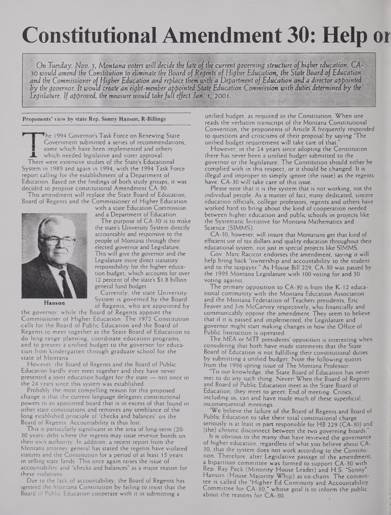## **Constitutional Amendment 30: Help or**

On Tuesday, Nov. 5, Montana voters will decide the fate of the current governing structure of higher education. CA-30 would amend the Constitution to eliminate the Board of Regents of Higher Education, the State Board of Education and the Commissioner of Higher Education and replace them with a Department of Education and a director appointed by the governor. It would create an eight-member appointed State Education Commission with duties determined by the *Legislature. If approved, the measure would takefull effect Jani -1,200*1.

**Proponents' view by state Rep. Sonny Hanson, R-Billings**

The 1994 Governor's Task Force on Renewing State Government submitted a series of recommendations, some which have been implemented and others **JL** which needed legislative and voter approval. There were extensive studies of the State's Educational System in 1989 and again in 1994, with the 1994 Task Force report calling for the establishment of a Department of Education. Based on the findings of both study groups, it was decided to propose constitutional Amendment CA-30.

This amendment will replace the State Board of Education, Board of Regents and the Commissioner of Higher Education



**Hanson**

with a state Education Commission and a Department of Education.

The purpose of CA-30 is to make the state's University System directly accountable and responsive to the people of Montana through their elected governor and Legislature. This will give the governor and the Legislature more direct statutory responsibility for the higher education budget, which accounts for over 12 percent of the state's \$1.8 billion general fund budget.

Currently, the state University System is governed by the Board of Regents, who are appointed by

the governor, while the Board of Regents appoint the Commissioner of Higher Education. The 1972 Constitution calls for the Board of Public Education and the Board of Regents to meet together as the State Board of Education to do long-range planning, coordinate education programs, and to present a unified budget to the governor for education from kindergarten through graduate school for the state of Montana.

However, the Board of Regents and the Board of Public Education hardly ever meet together and they have never presented a joint education budget for the state — not once in the 24 years since this system was established.

Probably the most compelling reason for this proposed change is that the current language delegates constitutional powers to an appointed board that is in excess of that found in other state constitutions and removes any semblance of the long established principle of "checks and balances" on the Board of Regents. Accountability is thus lost.

This is particularly significant in the area of long-term (20- 30 years) debt where the regents may issue revenue bonds on their own authority. In addition, a recent report from the Montana attorney general has stated the regents have violated statutes and the Constitution for a period of at least 15 years in selling state lands. This once again raises the issue of accountability and "checks and balances" as a major reason for these violations.

Due to the lack of accountability, the Board of Regents has ignored the Montana Constitution by failing to insist that the Board of Public Education cooperate with it in submitting a

unified budget, as required in the Constitution. When one reads the verbatim transcript of the Montana Constitutional Convention, the proponents of Article X frequently responded to questions and criticisms of their proposal by saying "The unified budget requirement will take care of that."

However, in the 24 years since adopting the Constitution there has never been a unified budget submitted to the governor or the legislature. The Constitution should either be complied with in this respect, or it should be changed. It is • illegal and improper to simply ignore (the issue) as the regents have. CA-30 will take care of this issue.

Please note that it is the system that is not working, not the individual people. As a matter of fact, many dedicated, sincere education officials, college professors, regents and others have worked hard to bring about the kind of cooperation needed between higher education and public schools in projects like the Systematic Initiative for Montana Mathematics and Science (SIMMS).

CA-30, however, will insure that Montanans get that kind of efficient use of tax dollars and quality education throughout their educational system, not just in special projects like SIMMS.

Gov. Marc Racicot endorses the amendment, saying it will help bring back "ownership and accountability to the student and to the taxpayer." As House Bill 229, CA-30 was passed by the 1995 Montana Legislature with 100 voting for and 50 voting against.

The primary opposition to CA-30 is from the K-12 educational community with the Montana Education Association and the Montana Federation of Teachers presidents, Eric Feaver and Jim McGarvey respectively, who financially and communicably oppose the amendment. They seem to believe that if it is passed and implemented, the Legislature and governor might start making changes in how the Office of Public Instruction is operated.

The MEA or MTF presidents' opposition is interesting when considering that both have made statements that the State Board of Education is not fulfilling their constitutional duties by submitting a unified budget. Note the following quotes from the 1996 spring issue of The Montana Professor:

"To our knowledge, the State Board of Education has never met to do any such thing. Never! When the Board of Regents and Board of Public Education meet as the State Board of Education, they meet to greet. End of meeting. Critics, including us, can and have made much of these superficial, inconsequential meetings.

"We believe the failure of the Board of Regents and Board of Public Education to take their total constitutional charge seriously is at least in part responsible for HB 229 (CA-30) and (the) chronic disconnect between the two governing boards."

It is obvious to the many that have reviewed the governance of higher education, regardless of what you believe about CA-30, that the system does not work according to the Constitution. Therefore, after Legislative passage of the amendment, a bipartisan committee was formed to support CA-30 with Rep. Ray Peck (Minority House Leader) and H.S. "Sonny" Hanson (House Majority Whip) as co-chairs. The committee is called the "Higher Ed Continuity and Accountability Committee for CA-30," whose goal is to inform the public about the reasons for CA-30.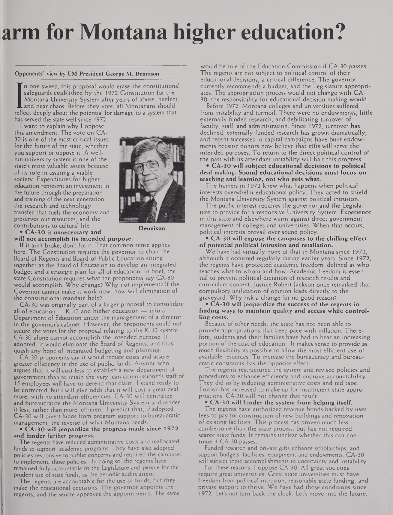## **arm for Montana higher education?**

#### **Opponents' view by UM President George M. Dennison**

safeguards established by the 1972 Constitution for the Montana University System after years of abuse, neglect and near chaos. Before they vote, all Montanans should reflect deeply about the potential for damage to a syst n one sweep, this proposal would erase the constitutional safeguards established by the 1972 Constitution for the Montana University System after years of abuse, neglect, and near chaos. Before they vote, all Montanans should has served the state well since 1972.

<sup>I</sup> want to explain why <sup>I</sup> oppose

this amendment. The vote on CA-30 is one of the most critical issues for the future of the state, whether you support or oppose it. A wellrun university system is one of the state's most valuable assets because of its role in assuring a viable society. Expenditures for higher education represent an investment in the future through the preparation and training of the next generation, the research and technology transfer that fuels the economy and preserves our resources, and the contributions to cultural life.



**\* CA-30 is unnecessary and will not accomplish its intended purpose.**

If it ain't broke, don't fix it. That common sense applies here. The Constitution requires the governor to chair the Board of Regents and Board of Public Education sitting together as the Board of Education to develop an integrated budget and a strategic plan for all of education. In brief, the state Constitution requires what the proponents say CA-30 would accomplish. Why change? Why not implement? If the Governor cannot make it work now, how will elimination of

the constitutional mandate help? CA-30 was originally part of a larger proposal to consolidate all of education — K-12 and higher education — into a Department of Education under the management of a director in the governor's cabinet. However, the proponents could not secure the votes for the proposal relating to the K-12 system. CA-30 alone cannot accomplish the intended purpose. If adopted, it would eliminate the Board of Regents, and thus quash any hope of integrated budgeting and planning.

CA-30 proponents say it would reduce costs and assure greater efficiency in the use of public funds. Anyone who argues that it will cost less to establish a new department of government than to retain the very lean commissioner's staff of 15 employees will have to defend that claim. <sup>I</sup> stand ready to be corrected, but <sup>I</sup> will give odds that it will cost a great deal more, with no attendant efficiencies. CA-30 will centralize and bureaucratize the Montana University System and render it less, rather than more, efficient. <sup>I</sup> predict that, if adopted, CA-30 will divert funds from program support to bureaucratic management, the reverse of what Montana needs.

#### **• CA-30 will jeopardize the progress made since 1972 and hinder further progress.**

The regents have reduced administrative costs and reallocated funds to support academic programs. They have also adopted policies responsive to public concerns and required the campuses to implement those policies. In doing so, the regents have remained fully accountable to the Legislature and people for the prudent use of state funds, as the periodic audits attest.

The regents are accountable for the use of funds, but they make the educational decisions. The governor appoints the regents, and the senate approves the appointments. The same

would be true of the Education Commission if CA-30 passes. The regents are not subject to political control of their educational decisions, a critical difference. The governor currently recommends a budget, and the Legislature appropriates. The appropriation process would not change with CA-30, the responsibility for educational decision making would.

Before 1972, Montana colleges and universities suffered from instability and turmoil. There were no endowments, little externally funded research, and debilitating turnover of faculty, staff, and administration. Since 1972, turnover has declined, externally funded research has grown dramatically, and recent successes in capital campaigns have built endowments because donors now believe that gifts will serve the intended purposes. To return to the direct political control of the past with its attendant instability will halt this progress.

**• CA-30 will subject educational decisions to political deal-making. Sound educational decisions must focus on teaching and learning, not who gets what.**

The framers in 1972 knew what happens when political interests overwhelm educational policy. They acted to shield the Montana University System against political intrusion.

The public interest requires the governor and the Legislature to provide for a responsive University System. Experience in this state and elsewhere warns against direct government management of colleges and universities. When that occurs, political interests prevail over sound policy.

**• CA-30 will expose the campuses to the chilling effect of potential political intrusion and retaliation.**

We have had virtually none of that in Montana since 1972, although it occurred regularly during earlier years. Since 1972, the regents have protected academic freedom, defined as who teaches what to whom and how. Academic freedom is essential to prevent political dictation of research results and curriculum content. Justice Robert Jackson once remarked that compulsory unification of opinion leads directly to the graveyard. Why risk a change for no good reason?

**• CA-30 will jeopardize the success of the regents in finding ways to maintain quality and access while controlling costs.**

Because of other needs, the state has not been able to provide appropriations that keep pace wirh inflation. Therefore, students and their families have had to bear an increasing portion of the cost of education. It makes sense to provide as much flexibility as possible to allow the most efficient use of available resources. To increase the bureaucracy and bureaucratic constraints has the opposite effect.

The regents restructured the system and revised policies and procedures to enhance efficiency and improve accountability. They did so by reducing administrative costs and red tape. Tuition has increased to make up for insufficient state appropriations. CA-30 will not change that result.

**• CA-30 will hinder the system from helping itself.** The regents have authorized revenue bonds backed by user fees to pay for construction of new buildings and renovation of existing facilities. This process has proven much less cumbersome than the state process, but has not required scarce state funds. It remains unclear whether this can continue if CA-30 passes.

Funded research and private gifts enhance scholarships, and support budgets, facilities, equipment, and endowments. CA-30 will subject these accomplishments to uncertainty and instability.

For these reasons, <sup>I</sup> oppose CA-30. All great societies require great universities. Great state universities must have freedom from political intrusion, reasonable state funding, and private support to thrive. We have had those conditions since 1972. Let's not turn back the clock. Let's move into the future.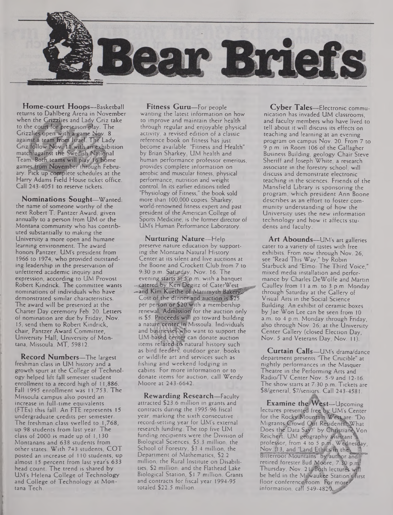

**Home-court Hoops—**Basketball returns to Dahlberg Arena in November when the Grizzlies and Lady Griz take to the court for preseason play. The Grizzlies open with a game Nov. 8<br>against a t<mark>eam from</mark> Israel. The Lady Griz follow Nov... 11 with an exbibition match<sup>3</sup>against the Swedish National Team. Both, teams will play 16 home games trom November through February. Pick up complete schedules at the Harry Adams Field House ticket office. Call 243-4051 to reserve tickets.

**Nominations Sought—**Wanted: the name of someone worthy of the next Robert T. Pantzer Award, given annually to a person from UM or the Montana community who has contributed substantially to making the University a more open and humane learning environment. The award honors Pantzer, UM's president from 1966 to 1974, who provided outstanding leadership in the preservation of unfettered academic inquiry and expression, according to UM Provost Robert Kindrick. The committee wants nominations of individuals who have demonstrated similar characteristics. The award will be presented at the Charter Day ceremony Feb. 20. Letters of nomination are due by Friday, Nov. 15; send them to Robert Kindrick, chair, Pantzer Award Committee, University Hall, University of Montana, Missoula, MT, 59812.

**Record Numbers—**The largest freshman class in UM history and a growth spurt at the College of Technology helped lift fall semester student enrollment to a record high of 11,886. Fall 1995 enrollment was 11,753. The Missoula campus also posted an increase in full-time equivalents (FTEs) this fall. An FTE represents 15 undergraduate credits per semester. The freshman class swelled to 1,768, up 98 students from last year. The class of 2000 is made up of 1,130 Montanans and 638 students from other states. With 743 students, COT posted an increase of 110 students, up almost 15 percent from last year's 633 head count. The trend is shared by UM's Helena College of Technology and College of Technology at Montana Tech.

**Fitness Guru—**For people wanting the latest information on how to improve and maintain their health through regular and enjoyable physical activity, a revised edition of a classic reference book on fitness has just become available. "Fitness and Health" become available. Thiness and Tie human performance professor emeritus, provides complete information on aerobic and muscular fitness, physical performance, nutrition and weight control. In its earlier editions titled "Physiology of Fitness," the book sold more than 100,000 copies. Sharkey, world-renowned fitness expert and past president of the American College of Sports Medicine, is the former director of UM's Human Performance Laboratory.

**Nurturing Nature—**Help preserve nature education by supporting the Montana Natural History Center at its silent and live auctions at the Boone and Crockett Club from 7 to 9:30 p.m. Saturday, Nov. 16. The evening starts at 5 p.m. with a banquet -- catered by Ken Degitz of CaterWest -and Kim Kuethe of Mammyth Bakery Cost of the dinner and auction is \$25 per person or \$20 with a membership renewal; Admission for the auction only is \$5. Proceeds will go toward building a nature center in Missoula. Individuals and businesses who want to support the UM-based center can donate auction items related to natural history such as bird feeders; outdoor gear, books or wildlife art and services such as fishing and weekend lodging in cabins. For more information or to donate items for auction, call Wendy Moore at 243-6642.

**Rewarding Research—**Faculty attracted \$23.6 million in grants and contracts during the 1995-96 fiscal year, marking the sixth consecutive record-setting year for UM's external research funding. The top five UM funding recipients were the Division of Biological Sciences, \$5.3 million, the School of Forestry, \$3.4 million, the Department of Mathematics, \$2.2 million, the Rural Institute on Disabilities, \$2 million, and the Flathead Lake Biological Station, \$1.7 million. Grants and contracts for fiscal year 1994-95 totaled \$22.5 million.

**Cyber Tales—**Electronic communication has invaded UM classrooms, and faculty members who have lived to tell about it will discuss its effects on teaching and learning at an evening program on campus Nov. 20. From 7 to 9 p.m. in Room 106 of the Gallagher Business Building, geology Chair Steve Sheriff and Joseph White, a research associate in the forestry school, will discuss and demonstrate electronic teaching in the sciences. Friends of the Mansfield Library is sponsoring the program, which president Ann Boone describes as an effort to foster community understanding of how the University uses the new information technology and how it affects students and faculty.

**Art Abounds—**UM's art galleries cater to a variety of tastes with free exhibits. From now through Nov. 26, see "Read This Way," by Robin Starbuck and "Elmo: The Third Voice." mixed media installation and performance by Charles DeWolfe and Martin Caulley from <sup>11</sup> a.m. to 3 p.m. Monday through Saturday at the Gallery of Visual Arts in the Social Science Building. An exhibit of ceramic boxes by Jae Won Lee can be seen from 10 a.m. to 4 p.m. Monday through Friday, also through Nov. 26, at the University Center Gallery (closed Election Day, Nov. 5 and Veterans Day, Nov. 11).

**Curtain Calls—**UM's drama/dance department presents 'The Crucible" at nightly performances in the Masquer Theatre in the Performing Arts and Radio/TV Center Nov. 5-9 and 12-16. The show starts at 7:30 p.m. Tickets are \$8/general, \$7/seniqrs. Call 243-4581.

**Examine theWest—**Upcoming lectures presented free by UM's Center for the Rocky Mountain West are: "Do Migrants Crowd Out Residents? What Does the Data Say?" by Christiane Von Reichert, UM geography assistant' professor, from 4 to 5 p.m. Wednesday,<br>Nov. [13, and <u>"</u>Land Ethrcs in the Bitterroot Mountains by author and retired forester Bud Moore, 7:30 p.m. Thursday, Nov. 21 Both lectures will be held in the Milwaukee Station'snirst floor conference room. For more information, call  $549-4820$ .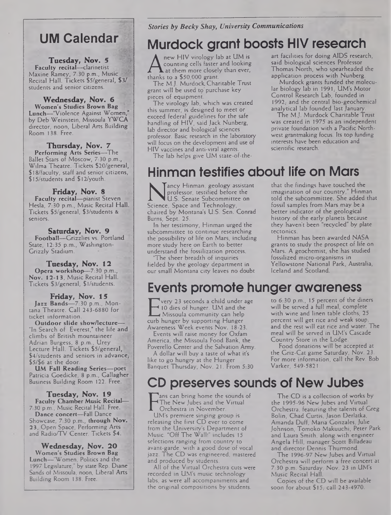### **UM Calendar**

**Tuesday, Nov. 5 Faculty recital—**clarinetist Maxine Ramey, 7:30 p.m., Music-J Recital Hall. Tickets \$5/general, \$3/ students and senior citizens.

#### **Wednesday, Nov. 6 Women's Studies Brown Bag Lunch—**"Violence Against Women," by Deb Weinstein, Missoula **YWCA** director, noon, Liberal Arts Building Room 138. Free.

**Thursday, Nov. 7 Performing Arts Series—The** Ballet Stars of Moscow, 7:30 p.m., Wilma Theatre. Tickets \$20/general, \$18/faculty, staff and senior citizens, \$15/students and \$12/youth.

**Friday, Nov. 8 Faculty recital—**pianist Steven Hesla, 7:30 p.m., Music Recital Hall. Tickets \$5/general, \$3/students & seniors.

**Saturday, Nov. 9 Football—**Grizzlies vs. Portland State, 12:35 p.m., Washington-Grizzly Stadium.

**Tuesday, Nov. 12 Opera workshop—**7:30 p.m., . **Nov. 12-13,** Music Recital Hall. Tickets \$3/general, \$l/students.

**Friday, Nov. 15 Jazz Bands—**7:30 p.m., Montana Theatre. Call 243-6880 for ticket information.

**Outdoor slide show/lecture—** "In Search of Everest," the life and climbs of British mountaineer Adrian Burgess, 8 p.m., Urey Lecture Hall. Tickets \$5/general,  $$4$ /students and seniors in advance, \$5/\$6 at the door.

**UM Fall Reading Series—poet** Patricia Goedicke, 8 p.m., Gallagher Business Building Room 122. Free.

**Tuesday, Nov. 19 Faculty Chamber Music Recital—** 7:30 p.m., Music Recital Hall. Free. **Dance concert—**Fall Dance Showcase, 7:30 p.m., **through Nov.** 23, Open Space, Performing Arts and Radio/TV Center. Tickets \$4.

**Wednesday, Nov. 20 Women's Studies Brown Bag** Lunch—'Women, Politics and the 1997 Legislature," by state Rep. Diane Sands of Missoula, noon. Liberal Arts Building Room 138. Free.

#### *Stories by Becky Shay, University Communications*

## Murdock grant boosts HIV research

**A** counting cells faster and lot<br>thanks to a \$50,000 grant.<br>The M.L. Murdock Charitable new HIV virology lab at UM is counting cells faster and looking A at them more closely than ever,

The MJ. Murdock. Charitable Trust grant will be used to'purchase key pieces of equipment.

The virology lab, which was created this summer, is designed to meet or exceed federal guidelines for the safe handling of HIV, said Jack Nunberg, lab director and biological sciences professor. Basic research in the laboratory will focus on the development and use of HIV vaccines and anti-viral agents.

The lab helps give UM state-of-the-

art facilities for doing AIDS research, said biological sciences Professor Thomas North, who spearheaded the application process with Nunberg.

Murdock grants funded the molecular biology lab in 1991; UM's Motor Control Research Lab, founded in 1992, and the central bio-geochemical analytical lab founded last January.

The M.J. Murdock Charitable Trust was created in 1975 as an independent private foundation with a Pacific Northwest grantmaking focus. Its top funding interests have been education and scientific research.

Hinman testifies about life on Mars

**NUMBER 1888**<br>
Professor, testified before the<br>
LI.S. Senate Subcommittee on<br>
Science, Space and Technology,<br>
chaired by Montana's U.S. Sen. Conrad ancy Hinman, geology assistant professor, testified before the U.S. Senate Subcommittee on chaired by Montana's U.S. Sen. Conrad Burns, Sept. 25.

In her testimony, Hinman urged the subcommittee to continue researching the'possibility of life on Mars, including more study here on Earth to better understand the fossilization process.

The sheer breadth of inquiries fielded by the geology department in our small Montana city leaves no doubt that the findings have touched the imagination of our country," Hinman told the subcommittee. She added that fossil samples from Mars may be a better indicator of the geological history of the early planets because they haven't been "recycled" by plate tectonics.

Hinman has been awarded NASA grants to study the prospect of life on Mars. A geochemist, she has studied fossilized micro-organisms in Yellowstone National Park, Australia, Iceland and Scotland.

## Events promote hunger awareness

E 10 dies of hunger. UM and the<br>
Curb hunger by supporting Hunger<br>
Awareners Week events Nov. 18.23 very 23 seconds a child under age 10 dies of hunger. UM and the Missoula community can help Awareness Week events Nov. 18-23.

Events will raise money for Oxfam America, the Missoula Food Bank, the Poverello Center and the Salvation Army.

A dollar will buy a taste of what it's like to go hungry at the Hunger Banquet Thursday, Nov. 21. From 5:30 to 6:30 p.m., 15 percent of the diners will be served a full meal, complete with wine and linen table cloths; 25 percent will get rice and weak soup, and the rest will eat rice and water. The meal will be served in UM's Cascade Country Store in the Lodge.

Food donations will be accepted at the Griz-Cat game Saturday, Nov. 23. For more information, call the Rev. Bob Varker, 549-5821.

## CD preserves sounds of New Jubes

ans can bring home the sounds of The New Jubes and the Virtual Orchestra in November.

The New Jubes and the Virtual<br>
Orchestra in November.<br>
UM's premiere singing group is<br>
releasing the first CD ever to come UM's premiere singing group is from the University's Department of Music. "Off The Wall!" includes 15 selections ranging from country to avant-garde, with a good dose of vocal jazz. The CD was engineered, mastered and produced by students.

All of the Virtual Orchestra cuts were recorded in UM's music technology labs, as were all accompaniments and the original compositions by students.

The CD is a collection of works by the 1995-96 NewJubes and Virtual Orchestra, featuring the talents of Greg Bolin, Chad Curtis, Jason Derlatka, Amanda Duff, Maria Gonzales, Julie Johnson, Tomoko Makuuchi, Peter Park and Laura Smith, along with engineer Angela Hill, manager Scott Billadeau and director Dennis Thurmond.

The 1996-97 New Jubes and Virtual Orchestra will perform a free concert at 7:30 p.m. Saturday, Nov. 23 in UM's Music Recital Hall.

Copies of the CD will be available soon for about  $$15;$  call 243-4970.